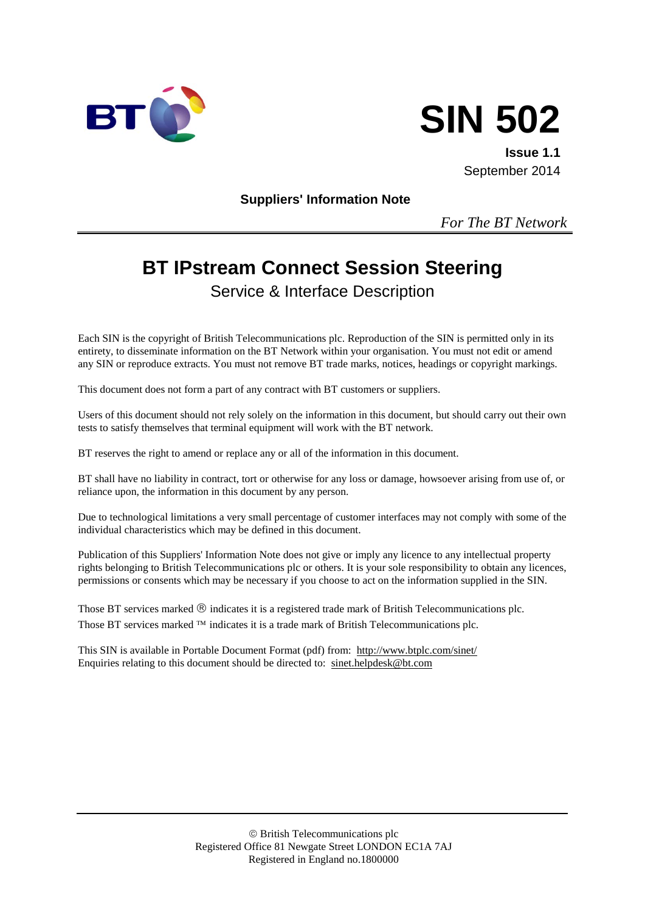



**Issue 1.1** September 2014

**Suppliers' Information Note**

*For The BT Network*

# **BT IPstream Connect Session Steering**

Service & Interface Description

Each SIN is the copyright of British Telecommunications plc. Reproduction of the SIN is permitted only in its entirety, to disseminate information on the BT Network within your organisation. You must not edit or amend any SIN or reproduce extracts. You must not remove BT trade marks, notices, headings or copyright markings.

This document does not form a part of any contract with BT customers or suppliers.

Users of this document should not rely solely on the information in this document, but should carry out their own tests to satisfy themselves that terminal equipment will work with the BT network.

BT reserves the right to amend or replace any or all of the information in this document.

BT shall have no liability in contract, tort or otherwise for any loss or damage, howsoever arising from use of, or reliance upon, the information in this document by any person.

Due to technological limitations a very small percentage of customer interfaces may not comply with some of the individual characteristics which may be defined in this document.

Publication of this Suppliers' Information Note does not give or imply any licence to any intellectual property rights belonging to British Telecommunications plc or others. It is your sole responsibility to obtain any licences, permissions or consents which may be necessary if you choose to act on the information supplied in the SIN.

Those BT services marked  $\mathcal{R}$  indicates it is a registered trade mark of British Telecommunications plc. Those BT services marked  $TM$  indicates it is a trade mark of British Telecommunications plc.

This SIN is available in Portable Document Format (pdf) from: <http://www.btplc.com/sinet/> Enquiries relating to this document should be directed to: [sinet.helpdesk@bt.com](mailto:sinet.helpdesk@bt.com)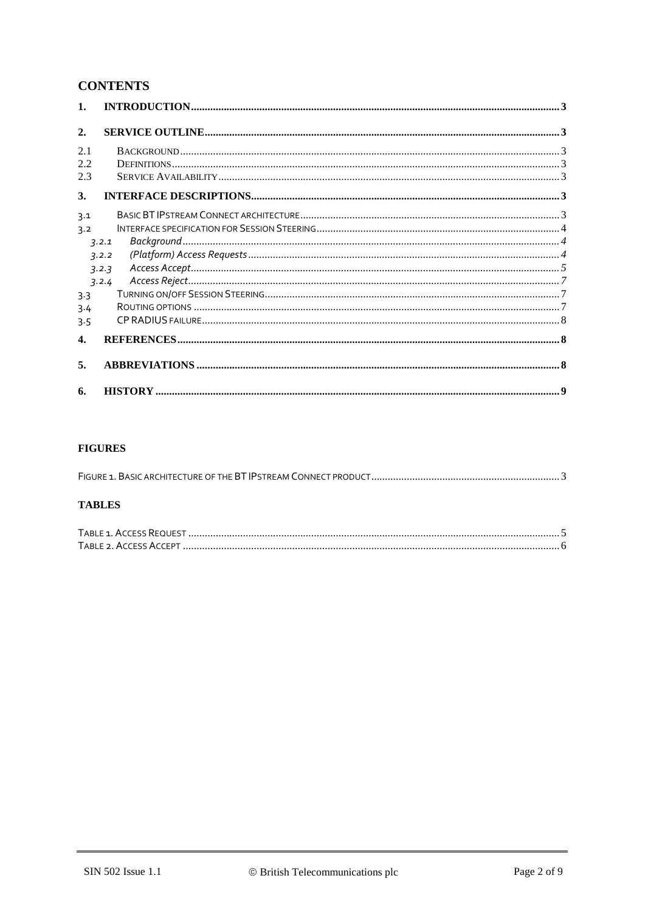## **CONTENTS**

| $\mathbf{1}$ .     |                                                                                                                                                                                                                                                                                                                                                                                                         |  |
|--------------------|---------------------------------------------------------------------------------------------------------------------------------------------------------------------------------------------------------------------------------------------------------------------------------------------------------------------------------------------------------------------------------------------------------|--|
| $\overline{2}$ .   |                                                                                                                                                                                                                                                                                                                                                                                                         |  |
| 2.1                |                                                                                                                                                                                                                                                                                                                                                                                                         |  |
| 2.2                |                                                                                                                                                                                                                                                                                                                                                                                                         |  |
| 2.3                |                                                                                                                                                                                                                                                                                                                                                                                                         |  |
| 3.                 |                                                                                                                                                                                                                                                                                                                                                                                                         |  |
| 3.1                |                                                                                                                                                                                                                                                                                                                                                                                                         |  |
| 3.2                |                                                                                                                                                                                                                                                                                                                                                                                                         |  |
|                    | 7.2.1                                                                                                                                                                                                                                                                                                                                                                                                   |  |
|                    | 3.2.2                                                                                                                                                                                                                                                                                                                                                                                                   |  |
|                    | $\textit{Access Accept} \textit{} \textit{} \textit{} \textit{} \textit{} \textit{} \textit{} \textit{} \textit{} \textit{} \textit{} \textit{} \textit{} \textit{} \textit{} \textit{} \textit{} \textit{} \textit{} \textit{} \textit{} \textit{} \textit{} \textit{} \textit{} \textit{} \textit{} \textit{} \textit{} \textit{} \textit{} \textit{} \textit{} \textit{} \textit{} \textit$<br>3.2.3 |  |
|                    | 3.2.4                                                                                                                                                                                                                                                                                                                                                                                                   |  |
| 3.3                |                                                                                                                                                                                                                                                                                                                                                                                                         |  |
| 3.4                |                                                                                                                                                                                                                                                                                                                                                                                                         |  |
| 3.5                |                                                                                                                                                                                                                                                                                                                                                                                                         |  |
| $\boldsymbol{4}$ . |                                                                                                                                                                                                                                                                                                                                                                                                         |  |
| 5.                 |                                                                                                                                                                                                                                                                                                                                                                                                         |  |
| 6.                 |                                                                                                                                                                                                                                                                                                                                                                                                         |  |

#### **FIGURES**

#### **TABLES**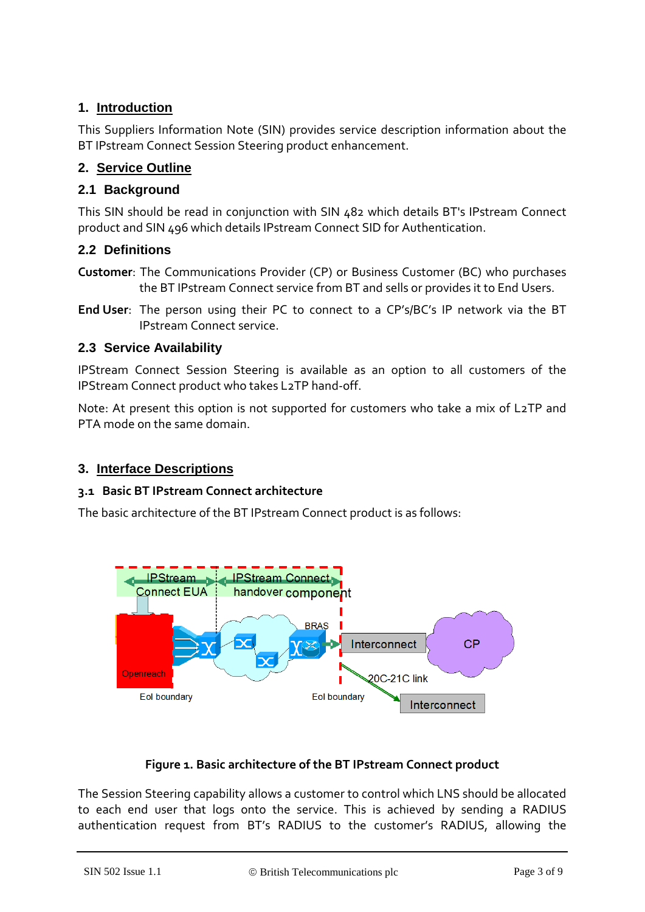## **1. Introduction**

This Suppliers Information Note (SIN) provides service description information about the BT IPstream Connect Session Steering product enhancement.

## **2. Service Outline**

## **2.1 Background**

This SIN should be read in conjunction with SIN 482 which details BT's IPstream Connect product and SIN 496 which details IPstream Connect SID for Authentication.

## **2.2 Definitions**

- **Customer**: The Communications Provider (CP) or Business Customer (BC) who purchases the BT IPstream Connect service from BT and sells or provides it to End Users.
- **End User**: The person using their PC to connect to a CP's/BC's IP network via the BT IPstream Connect service.

## **2.3 Service Availability**

IPStream Connect Session Steering is available as an option to all customers of the IPStream Connect product who takes L2TP hand-off.

Note: At present this option is not supported for customers who take a mix of L2TP and PTA mode on the same domain.

## **3. Interface Descriptions**

#### **3.1 Basic BT IPstream Connect architecture**

The basic architecture of the BT IPstream Connect product is as follows:



## **Figure 1. Basic architecture of the BT IPstream Connect product**

The Session Steering capability allows a customer to control which LNS should be allocated to each end user that logs onto the service. This is achieved by sending a RADIUS authentication request from BT's RADIUS to the customer's RADIUS, allowing the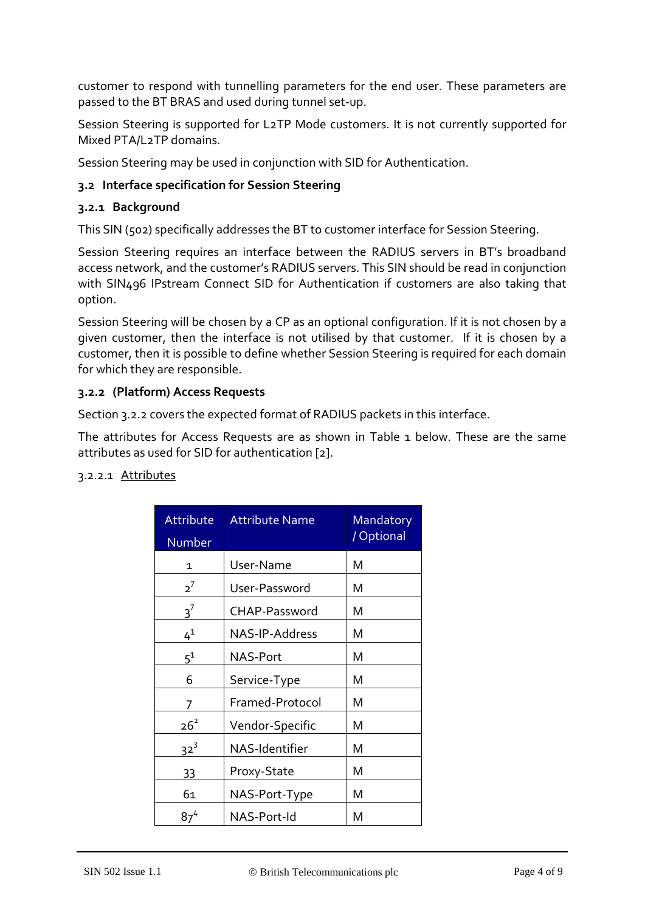customer to respond with tunnelling parameters for the end user. These parameters are passed to the BT BRAS and used during tunnel set-up.

Session Steering is supported for L2TP Mode customers. It is not currently supported for Mixed PTA/L2TP domains.

Session Steering may be used in conjunction with SID for Authentication.

## **3.2 Interface specification for Session Steering**

#### **3.2.1 Background**

This SIN (502) specifically addresses the BT to customer interface for Session Steering.

Session Steering requires an interface between the RADIUS servers in BT's broadband access network, and the customer's RADIUS servers. This SIN should be read in conjunction with SIN496 IPstream Connect SID for Authentication if customers are also taking that option.

Session Steering will be chosen by a CP as an optional configuration. If it is not chosen by a given customer, then the interface is not utilised by that customer. If it is chosen by a customer, then it is possible to define whether Session Steering is required for each domain for which they are responsible.

#### **3.2.2 (Platform) Access Requests**

Section 3.2.2 covers the expected format of RADIUS packets in this interface.

The attributes for Access Requests are as shown in [Table 1](#page-4-0) below. These are the same attributes as used for SID for authentication [2].

#### 3.2.2.1 Attributes

| Attribute<br>Number | <b>Attribute Name</b> | Mandatory<br>/ Optional |
|---------------------|-----------------------|-------------------------|
| 1                   | User-Name             | м                       |
| $2^7$               | User-Password         | м                       |
| $3^7$               | CHAP-Password         | м                       |
| $4^{1}$             | NAS-IP-Address        | м                       |
| $5^1$               | NAS-Port              | Μ                       |
| 6                   | Service-Type          | м                       |
| 7                   | Framed-Protocol       | Μ                       |
| $26^2$              | Vendor-Specific       | м                       |
| 32 <sup>3</sup>     | NAS-Identifier        | Μ                       |
| 33                  | Proxy-State           | м                       |
| 61                  | NAS-Port-Type         | Μ                       |
| $87^{4}$            | NAS-Port-Id           | М                       |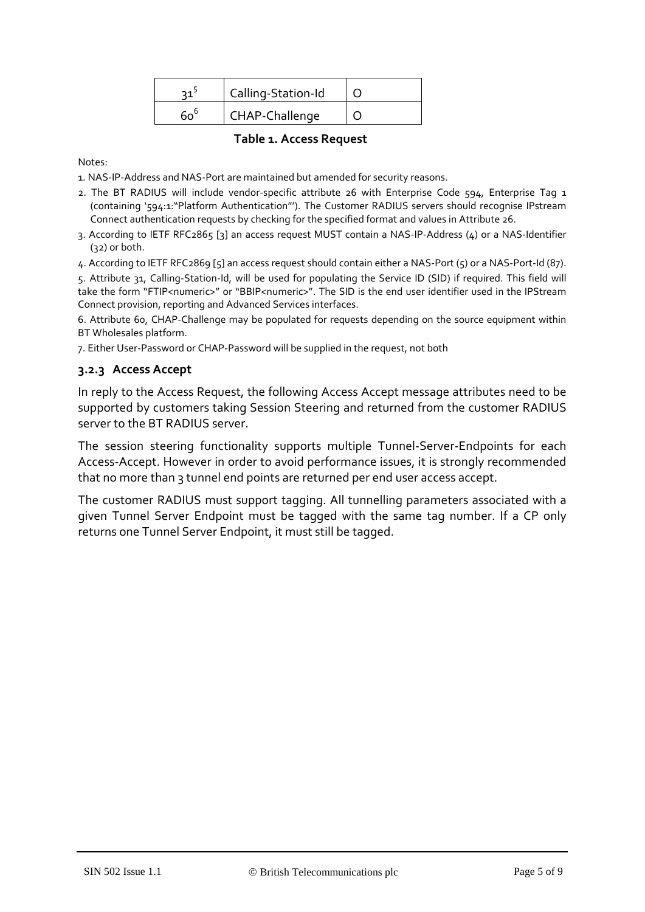|              | Calling-Station-Id |  |
|--------------|--------------------|--|
| $60^{\circ}$ | CHAP-Challenge     |  |

#### **Table 1. Access Request**

<span id="page-4-0"></span>Notes:

1. NAS-IP-Address and NAS-Port are maintained but amended for security reasons.

- 2. The BT RADIUS will include vendor-specific attribute 26 with Enterprise Code 594, Enterprise Tag 1 (containing '594:1:"Platform Authentication"'). The Customer RADIUS servers should recognise IPstream Connect authentication requests by checking for the specified format and values in Attribute 26.
- 3. According to IETF RFC2865 [3] an access request MUST contain a NAS-IP-Address (4) or a NAS-Identifier (32) or both.
- 4. According to IETF RFC2869 [5] an access request should contain either a NAS-Port (5) or a NAS-Port-Id (87).

5. Attribute 31, Calling-Station-Id, will be used for populating the Service ID (SID) if required. This field will take the form "FTIP<numeric>" or "BBIP<numeric>". The SID is the end user identifier used in the IPStream Connect provision, reporting and Advanced Services interfaces.

6. Attribute 60, CHAP-Challenge may be populated for requests depending on the source equipment within BT Wholesales platform.

7. Either User-Password or CHAP-Password will be supplied in the request, not both

#### **3.2.3 Access Accept**

In reply to the Access Request, the following Access Accept message attributes need to be supported by customers taking Session Steering and returned from the customer RADIUS server to the BT RADIUS server.

The session steering functionality supports multiple Tunnel-Server-Endpoints for each Access-Accept. However in order to avoid performance issues, it is strongly recommended that no more than 3 tunnel end points are returned per end user access accept.

The customer RADIUS must support tagging. All tunnelling parameters associated with a given Tunnel Server Endpoint must be tagged with the same tag number. If a CP only returns one Tunnel Server Endpoint, it must still be tagged.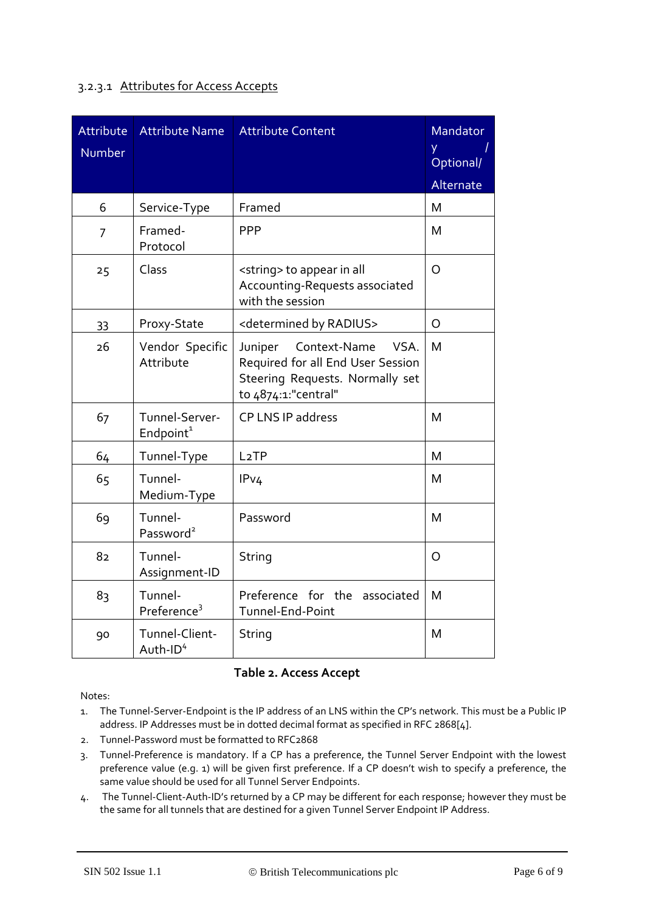#### 3.2.3.1 Attributes for Access Accepts

| Attribute<br>Number | <b>Attribute Name</b>                   | <b>Attribute Content</b>                                                                                                       | Mandator<br>ÿ<br>Optional/<br>Alternate |
|---------------------|-----------------------------------------|--------------------------------------------------------------------------------------------------------------------------------|-----------------------------------------|
| 6                   | Service-Type                            | Framed                                                                                                                         | M                                       |
| $\overline{7}$      | Framed-<br>Protocol                     | <b>PPP</b>                                                                                                                     | M                                       |
| 25                  | Class                                   | <string> to appear in all<br/>Accounting-Requests associated<br/>with the session</string>                                     | $\circ$                                 |
| 33                  | Proxy-State                             | <determined by="" radius=""></determined>                                                                                      | O                                       |
| 26                  | Vendor Specific<br>Attribute            | Context-Name<br>VSA.<br>Juniper<br>Required for all End User Session<br>Steering Requests. Normally set<br>to 4874:1:"central" | M                                       |
| 67                  | Tunnel-Server-<br>Endpoint <sup>1</sup> | CP LNS IP address                                                                                                              | M                                       |
| 64                  | Tunnel-Type                             | L <sub>2</sub> TP                                                                                                              | M                                       |
| 65                  | Tunnel-<br>Medium-Type                  | IPv4                                                                                                                           | M                                       |
| 69                  | Tunnel-<br>Password <sup>2</sup>        | Password                                                                                                                       | M                                       |
| 82                  | Tunnel-<br>Assignment-ID                | String                                                                                                                         | O                                       |
| 83                  | Tunnel-<br>Preference <sup>3</sup>      | Preference for the associated<br>Tunnel-End-Point                                                                              | M                                       |
| 90                  | Tunnel-Client-<br>Auth-ID <sup>4</sup>  | String                                                                                                                         | M                                       |

#### **Table 2. Access Accept**

Notes:

- 1. The Tunnel-Server-Endpoint is the IP address of an LNS within the CP's network. This must be a Public IP address. IP Addresses must be in dotted decimal format as specified in RFC 2868[4].
- 2. Tunnel-Password must be formatted to RFC2868
- 3. Tunnel-Preference is mandatory. If a CP has a preference, the Tunnel Server Endpoint with the lowest preference value (e.g. 1) will be given first preference. If a CP doesn't wish to specify a preference, the same value should be used for all Tunnel Server Endpoints.
- 4. The Tunnel-Client-Auth-ID's returned by a CP may be different for each response; however they must be the same for all tunnels that are destined for a given Tunnel Server Endpoint IP Address.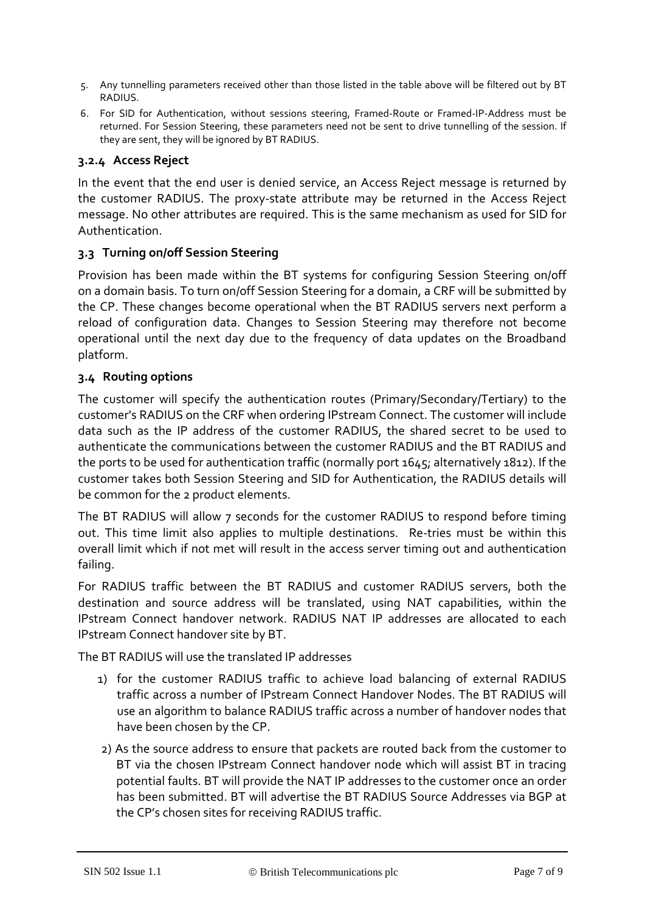- 5. Any tunnelling parameters received other than those listed in the table above will be filtered out by BT RADIUS.
- 6. For SID for Authentication, without sessions steering, Framed-Route or Framed-IP-Address must be returned. For Session Steering, these parameters need not be sent to drive tunnelling of the session. If they are sent, they will be ignored by BT RADIUS.

## **3.2.4 Access Reject**

In the event that the end user is denied service, an Access Reject message is returned by the customer RADIUS. The proxy-state attribute may be returned in the Access Reject message. No other attributes are required. This is the same mechanism as used for SID for Authentication.

## **3.3 Turning on/off Session Steering**

Provision has been made within the BT systems for configuring Session Steering on/off on a domain basis. To turn on/off Session Steering for a domain, a CRF will be submitted by the CP. These changes become operational when the BT RADIUS servers next perform a reload of configuration data. Changes to Session Steering may therefore not become operational until the next day due to the frequency of data updates on the Broadband platform.

## **3.4 Routing options**

The customer will specify the authentication routes (Primary/Secondary/Tertiary) to the customer's RADIUS on the CRF when ordering IPstream Connect. The customer will include data such as the IP address of the customer RADIUS, the shared secret to be used to authenticate the communications between the customer RADIUS and the BT RADIUS and the ports to be used for authentication traffic (normally port 1645; alternatively 1812). If the customer takes both Session Steering and SID for Authentication, the RADIUS details will be common for the 2 product elements.

The BT RADIUS will allow 7 seconds for the customer RADIUS to respond before timing out. This time limit also applies to multiple destinations. Re-tries must be within this overall limit which if not met will result in the access server timing out and authentication failing.

For RADIUS traffic between the BT RADIUS and customer RADIUS servers, both the destination and source address will be translated, using NAT capabilities, within the IPstream Connect handover network. RADIUS NAT IP addresses are allocated to each IPstream Connect handover site by BT.

The BT RADIUS will use the translated IP addresses

- 1) for the customer RADIUS traffic to achieve load balancing of external RADIUS traffic across a number of IPstream Connect Handover Nodes. The BT RADIUS will use an algorithm to balance RADIUS traffic across a number of handover nodes that have been chosen by the CP.
- 2) As the source address to ensure that packets are routed back from the customer to BT via the chosen IPstream Connect handover node which will assist BT in tracing potential faults. BT will provide the NAT IP addresses to the customer once an order has been submitted. BT will advertise the BT RADIUS Source Addresses via BGP at the CP's chosen sites for receiving RADIUS traffic.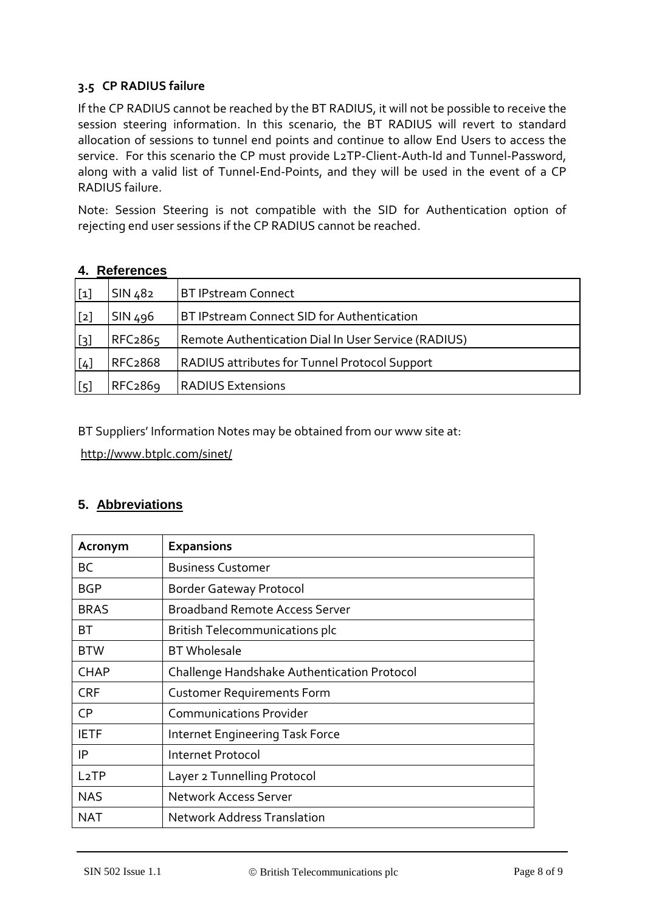## **3.5 CP RADIUS failure**

If the CP RADIUS cannot be reached by the BT RADIUS, it will not be possible to receive the session steering information. In this scenario, the BT RADIUS will revert to standard allocation of sessions to tunnel end points and continue to allow End Users to access the service. For this scenario the CP must provide L2TP-Client-Auth-Id and Tunnel-Password, along with a valid list of Tunnel-End-Points, and they will be used in the event of a CP RADIUS failure.

Note: Session Steering is not compatible with the SID for Authentication option of rejecting end user sessions if the CP RADIUS cannot be reached.

| $[1]$             | SIN 482              | <b>BT IPstream Connect</b>                           |  |
|-------------------|----------------------|------------------------------------------------------|--|
| [2]               | SIN 496              | BT IPstream Connect SID for Authentication           |  |
| $\lceil 3 \rceil$ | RFC <sub>2865</sub>  | Remote Authentication Dial In User Service (RADIUS)  |  |
| [4]               | RFC <sub>2</sub> 868 | <b>RADIUS attributes for Tunnel Protocol Support</b> |  |
| [5]               | RFC <sub>2869</sub>  | <b>RADIUS Extensions</b>                             |  |

## **4. References**

BT Suppliers' Information Notes may be obtained from our www site at:

<http://www.btplc.com/sinet/>

## **5. Abbreviations**

| Acronym           | <b>Expansions</b>                           |
|-------------------|---------------------------------------------|
| BС                | <b>Business Customer</b>                    |
| <b>BGP</b>        | <b>Border Gateway Protocol</b>              |
| <b>BRAS</b>       | <b>Broadband Remote Access Server</b>       |
| BТ                | <b>British Telecommunications plc</b>       |
| <b>BTW</b>        | <b>BT</b> Wholesale                         |
| <b>CHAP</b>       | Challenge Handshake Authentication Protocol |
| <b>CRF</b>        | <b>Customer Requirements Form</b>           |
| CP.               | <b>Communications Provider</b>              |
| <b>IETF</b>       | <b>Internet Engineering Task Force</b>      |
| IP                | Internet Protocol                           |
| L <sub>2</sub> TP | Layer 2 Tunnelling Protocol                 |
| <b>NAS</b>        | <b>Network Access Server</b>                |
| NAT               | <b>Network Address Translation</b>          |